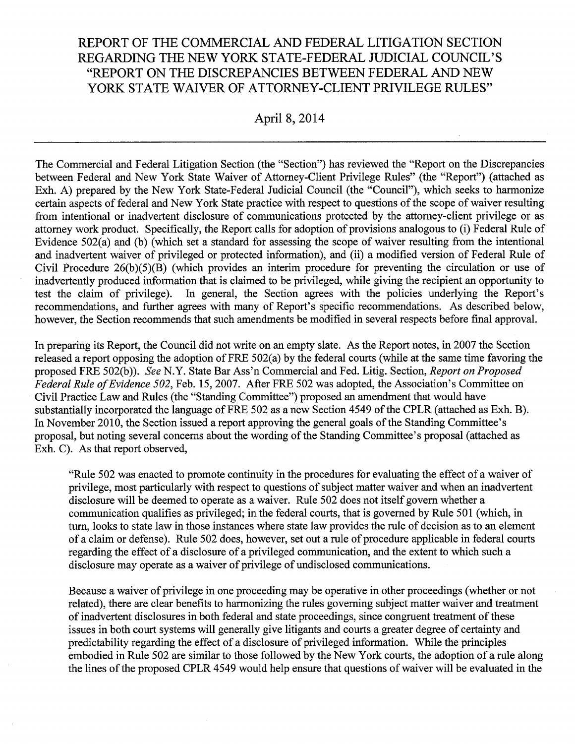# REPORT OF THE COMMERCIAL AND FEDERAL LITIGATION SECTION REGARDING THE NEW YORK STATE-FEDERAL JUDICIAL COUNCIL'S "REPORT ON THE DISCREPANCIES BETWEEN FEDERAL AND NEW YORK STATE WAIVER OF ATTORNEY-CLIENT PRIVILEGE RULES"

### April 8, 2014

The Commercial and Federal Litigation Section (the "Section") has reviewed the "Report on the Discrepancies between Federal and New York State Waiver of Attorney-Client Privilege Rules" (the "Report") (attached as Exh. A) prepared by the New York State-Federal Judicial Council (the "Council"), which seeks to harmonize certain aspects of federal and New York State practice with respect to questions of the scope of waiver resulting from intentional or inadvertent disclosure of communications protected by the attorney-client privilege or as attorney work product. Specifically, the Report calls for adoption of provisions analogous to (i) Federal Rule of Evidence  $502(a)$  and (b) (which set a standard for assessing the scope of waiver resulting from the intentional and inadvertent waiver of privileged or protected information), and (ii) a modified version of Federal Rule of Civil Procedure 26(b)(5)(B) (which provides an interim procedure for preventing the circulation or use of inadvertently produced information that is claimed to be privileged, while giving the recipient an opportunity to test the claim of privilege). In general, the Section agrees with the policies underlying the Report's recommendations, and further agrees with many of Report's specific recommendations. As described below, however, the Section recommends that such amendments be modified in several respects before final approval.

In preparing its Report, the Council did not write on an empty slate. As the Report notes, in 2007 the Section released a report opposing the adoption of FRE 502(a) by the federal courts (while at the same time favoring the proposed FRE 502(b)). *See* N.Y. State Bar Ass'n Commercial and Fed. Litig. Section, *Report on Proposed Federal Rule of Evidence 502*, Feb. 15, 2007. After FRE 502 was adopted, the Association's Committee on Civil Practice Law and Rules (the "Standing Committee") proposed an amendment that would have substantially incorporated the language of FRE 502 as a new Section 4549 of the CPLR (attached as Exh. B). In November 2010, the Section issued a report approving the general goals of the Standing Committee's proposal, but noting several concerns about the wording of the Standing Committee's proposal (attached as Exh. C). As that report observed,

"Rule 502 was enacted to promote continuity in the procedures for evaluating the effect of a waiver of privilege, most particularly with respect to questions of subject matter waiver and when an inadvertent disclosure will be deemed to operate as a waiver. Rule 502 does not itself govern whether a communication qualifies as privileged; in the federal courts, that is governed by Rule 501 (which, in tum, looks to state law in those instances where state law provides the rule of decision as to an element of a claim or defense). Rule 502 does, however, set out a rule of procedure applicable in federal courts regarding the effect of a disclosure of a privileged communication, and the extent to which such a disclosure may operate as a waiver of privilege of undisclosed communications.

Because a waiver of privilege in one proceeding may be operative in other proceedings (whether or not related), there are clear benefits to harmonizing the rules governing subject matter waiver and treatment of inadvertent disclosures in both federal and state proceedings, since congruent treatment of these issues in both court systems will generally give litigants and courts a greater degree of certainty and predictability regarding the effect of a disclosure of privileged information. While the principles embodied in Rule 502 are similar to those followed by the New York courts, the adoption of a rule along the lines of the proposed CPLR 4549 would help ensure that questions of waiver will be evaluated in the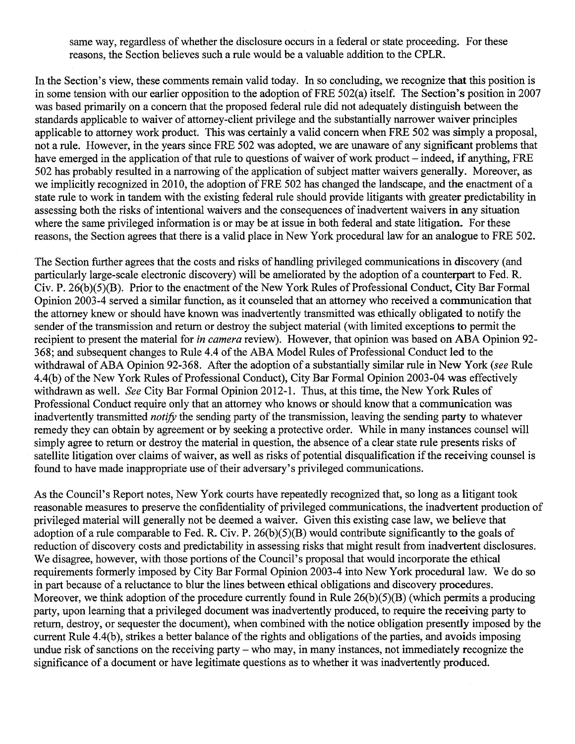same way, regardless of whether the disclosure occurs in a federal or state proceeding. For these reasons, the Section believes such a rule would be a valuable addition to the CPLR.

In-the Section's view, these comments remain valid today. In so concluding, we recognize that this position is in some tension with our earlier opposition to the adoption of FRE 502(a) itself. The Section's position in 2007 was based primarily on a concern that the proposed federal rule did not adequately distinguish between the standards applicable to waiver of attorney-client privilege and the substantially narrower waiver principles applicable to attorney work product. This was certainly a valid concern when FRE 502 was simply a proposal, not a rule. However, in the years since FRE 502 was adopted, we are unaware of any significant problems that have emerged in the application of that rule to questions of waiver of work product – indeed, if anything, FRE 502 has probably resulted in a narrowing of the application of subject matter waivers generally. Moreover, as we implicitly recognized in 2010, the adoption of FRE 502 has changed the landscape, and the enactment of a state rule to work in tandem with the existing federal rule should provide litigants with greater predictability in assessing both the risks of intentional waivers and the consequences of inadvertent waivers in any situation where the same privileged information is or may be at issue in both federal and state litigation. For these reasons, the Section agrees that there is a valid place in New York procedural law for an analogue to FRE 502.

The Section further agrees that the costs and risks of handling privileged communications in discovery (and particularly large-scale electronic discovery) will be ameliorated by the adoption of a counterpart to Fed. R. Civ. P. 26(b)(5)(B). Prior to the enactment of the New York Rules of Professional Conduct, City Bar Formal Opinion 2003-4 served a similar function, as it counseled that an attorney who received a communication that the attorney knew or should have known was inadvertently transmitted was ethically obligated to notify the sender of the transmission and return or destroy the subject material (with limited exceptions to permit the recipient to present the material for *in camera* review). However, that opinion was based on ABA Opinion 92- 368; and subsequent changes to Rule 4.4 of the ABA Model Rules of Professional Conduct led to the withdrawal of ABA Opinion 92-368. After the adoption of a substantially similar rule in New York *(see* Rule 4.4(b) of the New York Rules of Professional Conduct), City Bar Formal Opinion 2003-04 was effectively withdrawn as well. *See* City Bar Formal Opinion 2012-1. Thus, at this time, the New York Rules of Professional Conduct require only that an attorney who knows or should know that a communication was inadvertently transmitted *notify* the sending party of the transmission, leaving the sending party to whatever remedy they can obtain by agreement or by seeking a protective order. While in many instances counsel will simply agree to return or destroy the material in question, the absence of a clear state rule presents risks of satellite litigation over claims of waiver, as well as risks of potential disqualification if the receiving counsel is found to have made inappropriate use of their adversary's privileged communications.

As the Council's Report notes, New York courts have repeatedly recognized that, so long as a litigant took reasonable measures to preserve the confidentiality of privileged communications, the inadvertent production of privileged material will generally not be deemed a waiver. Given this existing case law, we believe that adoption of a rule comparable to Fed. R. Civ. P. 26(b)(5)(B) would contribute significantly to the goals of reduction of discovery costs and predictability in assessing risks that might result from inadvertent disclosures. We disagree, however, with those portions of the Council's proposal that would incorporate the ethical requirements formerly imposed by City Bar Formal Opinion 2003-4 into New York procedural law. We do so in part because of a reluctance to blur the lines between ethical obligations and discovery procedures. Moreover, we think adoption of the procedure currently found in Rule  $26(b)(5)(B)$  (which permits a producing party, upon learning that a privileged document was inadvertently produced, to require the receiving party to return, destroy, or sequester the document), when combined with the notice obligation presently imposed by the current Rule 4.4(b), strikes a better balance of the rights and obligations of the parties, and avoids imposing undue risk of sanctions on the receiving party - who may, in many instances, not immediately recognize the significance of a document or have legitimate questions as to whether it was inadvertently produced.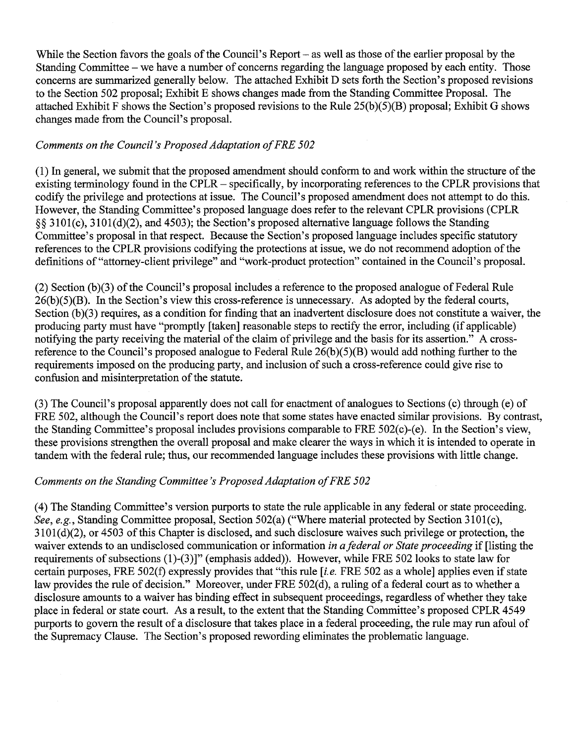While the Section favors the goals of the Council's Report – as well as those of the earlier proposal by the Standing Committee – we have a number of concerns regarding the language proposed by each entity. Those concerns are summarized generally below. The attached Exhibit D sets forth the Section's proposed revisions to the Section 502 proposal; Exhibit E shows changes made from the Standing Committee Proposal. The attached Exhibit F shows the Section's proposed revisions to the Rule 25(b)(5)(B) proposal; Exhibit G shows changes made from the Council's proposal.

## Comments on the Council's Proposed Adaptation of FRE 502

(1) In general, we submit that the proposed amendment should conform to and work within the structure of the existing terminology found in the CPLR- specifically, by incorporating references to the CPLR provisions that codify the privilege and protections at issue. The Council's proposed amendment does not attempt to do this. However, the Standing Committee's proposed language does refer to the relevant CPLR provisions (CPLR §§ 3101(c), 310l(d)(2), and 4503); the Section's proposed alternative language follows the Standing Committee's proposal in that respect. Because the Section's proposed language includes specific statutory references to the CPLR provisions codifying the protections at issue, we do not recommend adoption of the definitions of "attorney-client privilege" and "work-product protection" contained in the Council's proposal.

(2) Section (b)(3) of the Council's proposal includes a reference to the proposed analogue of Federal Rule  $26(b)(5)(B)$ . In the Section's view this cross-reference is unnecessary. As adopted by the federal courts, Section (b)(3) requires, as a condition for finding that an inadvertent disclosure does not constitute a waiver, the producing party must have "promptly [taken] reasonable steps to rectify the error, including (if applicable) notifying the party receiving the material of the claim of privilege and the basis for its assertion." A crossreference to the Council's proposed analogue to Federal Rule 26(b)(5)(B) would add nothing further to the requirements imposed on the producing party, and inclusion of such a cross-reference could give rise to confusion and misinterpretation of the statute.

(3) The Council's proposal apparently does not call for enactment of analogues to Sections (c) through (e) of FRE 502, although the Council's report does note that some states have enacted similar provisions. By contrast, the Standing Committee's proposal includes provisions comparable to FRE 502(c)-(e). In the Section's view, these provisions strengthen the overall proposal and make clearer the ways in which it is intended to operate in tandem with the federal rule; thus, our recommended language includes these provisions with little change.

### *Comments on the Standing Committee's Proposed Adaptation of FRE 502*

(4) The Standing Committee's version purports to state the rule applicable in any federal or state proceeding. *See, e.g.,* Standing Committee proposal, Section 502(a) ("Where material protected by Section 3101(c),  $3101(d)(2)$ , or  $4503$  of this Chapter is disclosed, and such disclosure waives such privilege or protection, the waiver extends to an undisclosed communication or information *in a federal or State proceeding* if [listing the requirements of subsections (1)-(3)]" (emphasis added)). However, while FRE 502 looks to state law for certain purposes, FRE 502(f) expressly provides that "this rule *[i.e.* FRE 502 as a whole] applies even if state law provides the rule of decision." Moreover, under FRE 502(d), a ruling of a federal court as to whether a disclosure amounts to a waiver has binding effect in subsequent proceedings, regardless of whether they take place in federal or state court. As a result, to the extent that the Standing Committee's proposed CPLR 4549 purports to govern the result of a disclosure that takes place in a federal proceeding, the rule may run afoul of the Supremacy Clause. The Section's proposed rewording eliminates the problematic language.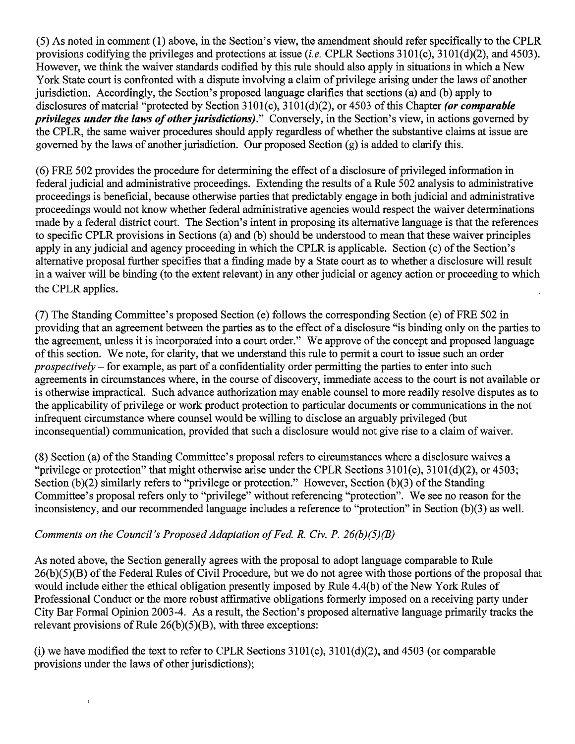(5) As noted in comment (1) above, in the Section's view, the amendment should refer specifically to the CPLR provisions codifying the privileges and protections at issue *(i.e. CPLR Sections 3101(c)*, 3101*(d)*(2), and 4503). However, we think the waiver standards codified by this rule should also apply in situations in which a New York State court is confronted with a dispute involving a claim of privilege arising under the laws of another jurisdiction. Accordingly, the Section's proposed language clarifies that sections (a) and (b) apply to disclosures of material "protected by Section 3101(c), 3101(d)(2), or 4503 of this Chapter *(or comparable privileges under the laws of other jurisdictions)."* Conversely, in the Section's view, in actions governed by the CPLR, the same waiver procedures should apply regardless of whether the substantive claims at issue are governed by the laws of another jurisdiction. Our proposed Section (g) is added to clarify this.

( 6) FRE 502 provides the procedure for determining the effect of a disclosure of privileged information in federal judicial and administrative proceedings. Extending the results of a Rule 502 analysis to administrative proceedings is beneficial, because otherwise parties that predictably engage in both judicial and administrative proceedings would not know whether federal administrative agencies would respect the waiver determinations made by a federal district court. The Section's intent in proposing its alternative language is that the references to specific CPLR provisions in Sections (a) and (b) should be understood to mean that these waiver principles apply in any judicial and agency proceeding in which the CPLR is applicable. Section (c) of the Section's alternative proposal further specifies that a finding made by a State court as to whether a disclosure will result in a waiver will be binding (to the extent relevant) in any other judicial or agency action or proceeding to which the CPLR applies.

(7) The Standing Committee's proposed Section (e) follows the corresponding Section (e) of FRE 502 in providing that an agreement between the parties as to the effect of a disclosure "is binding only on the parties to the agreement, unless it is incorporated into a court order." We approve of the concept and proposed language of this section. We note, for clarity, that we understand this rule to permit a court to issue such an order *prospectively* - for example, as part of a confidentiality order permitting the parties to enter into such agreements in circumstances where, in the course of discovery, immediate access to the court is not available or is otherwise impractical. Such advance authorization may enable counsel to more readily resolve disputes as to the applicability of privilege or work product protection to particular documents or communications in the not infrequent circumstance where counsel would be willing to disclose an arguably privileged (but inconsequential) communication, provided that such a disclosure would not give rise to a claim of waiver.

(8) Section (a) of the Standing Committee's proposal refers to circumstances where a disclosure waives a "privilege or protection" that might otherwise arise under the CPLR Sections  $3101(c)$ ,  $3101(d)(2)$ , or  $4503$ ; Section (b)(2) similarly refers to "privilege or protection." However, Section (b)(3) of the Standing Committee's proposal refers only to "privilege" without referencing "protection". We see no reason for the inconsistency, and our recommended language includes a reference to "protection" in Section (b)(3) as well.

## *Comments on the Council's Proposed Adaptation of Fed. R. Civ. P. 26(b)(5)(B)*

 $\overline{1}$ 

As noted above, the Section generally agrees with the proposal to adopt language comparable to Rule 26(b)(5)(B) of the Federal Rules of Civil Procedure, but we do not agree with those portions of the proposal that would include either the ethical obligation presently imposed by Rule 4.4(b) of the New York Rules of Professional Conduct or the more robust affirmative obligations formerly imposed on a receiving party under City Bar Formal Opinion 2003-4. As a result, the Section's proposed alternative language primarily tracks the relevant provisions of Rule  $26(b)(5)(B)$ , with three exceptions:

(i) we have modified the text to refer to CPLR Sections  $3101(c)$ ,  $3101(d)(2)$ , and  $4503$  (or comparable provisions under the laws of other jurisdictions);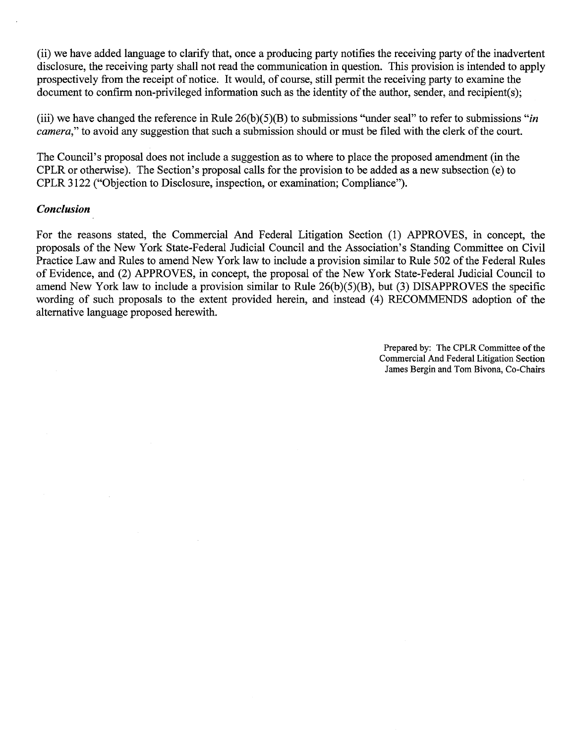(ii) we have added language to clarify that, once a producing party notifies the receiving party of the inadvertent disclosure, the receiving party shall not read the communication in question. This provision is intended to apply prospectively from the receipt of notice. It would, of course, still permit the receiving party to examine the document to confirm non-privileged information such as the identity of the author, sender, and recipient(s);

(iii) we have changed the reference in Rule 26(b)(5)(B) to submissions "under seal" to refer to submissions *"in camera,"* to avoid any suggestion that such a submission should or must be filed with the clerk of the court.

The Council's proposal does not include a suggestion as to where to place the proposed amendment (in the CPLR or otherwise). The Section's proposal calls for the provision to be added as a new subsection (e) to CPLR 3122 ("Objection to Disclosure, inspection, or examination; Compliance").

#### *Conclusion*

For the reasons stated, the Commercial And Federal Litigation Section (1) APPROVES, in concept, the proposals of the New York State-Federal Judicial Council and the Association's Standing Committee on Civil Practice Law and Rules to amend New York law to include a provision similar to Rule 502 of the Federal Rules of Evidence, and (2) APPROVES, in concept, the proposal of the New York State-Federal Judicial Council to amend New York law to include a provision similar to Rule 26(b)(5)(B), but (3) DISAPPROVES the specific wording of such proposals to the extent provided herein, and instead (4) RECOMMENDS adoption of the alternative language proposed herewith.

> Prepared by: The CPLR Committee of the Commercial And Federal Litigation Section James Bergin and Tom Bivona, Co-Chairs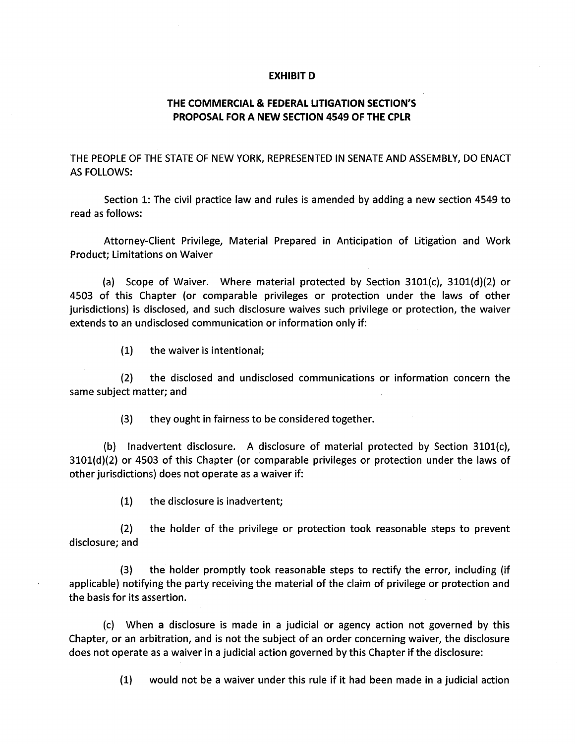#### **EXHIBIT D**

### **THE COMMERCIAL & FEDERAL LITIGATION SECTION'S PROPOSAL FOR A NEW SECTION 4549 OF THE CPLR**

THE PEOPLE OF THE STATE OF NEW YORK, REPRESENTED IN SENATE AND ASSEMBLY, DO ENACT AS FOLLOWS:

Section 1: The civil practice law and rules is amended by adding a new section 4549 to read as follows:

Attorney-Client Privilege, Material Prepared in Anticipation of Litigation and Work Product; Limitations on Waiver

(a) Scope of Waiver. Where material protected by Section 3101(c), 3101(d)(2) or 4503 of this Chapter (or comparable privileges or protection under the laws of other jurisdictions) is disclosed, and such disclosure waives such privilege or protection, the waiver extends to an undisclosed communication or information only if:

(1) the waiver is intentional;

(2) the disclosed and undisclosed communications or information concern the same subject matter; and

(3) they ought in fairness to be considered together.

(b) Inadvertent disclosure. A disclosure of material protected by Section 3101(c), 3101(d)(2) or 4503 of this Chapter (or comparable privileges or protection under the laws of other jurisdictions) does not operate as a waiver if:

(1) the disclosure is inadvertent;

(2) the holder of the privilege or protection took reasonable steps to prevent disclosure; and

(3) the holder promptly took reasonable steps to rectify the error, including (if applicable) notifying the party receiving the material of the claim of privilege or protection and the basis for its assertion.

(c) When a disclosure is made in a judicial or agency action not governed by this Chapter, or an arbitration, and is not the subject of an order concerning waiver, the disclosure does not operate as a waiver in a judicial action governed by this Chapter if the disclosure:

(1) would not be a waiver under this rule if it had been made in a judicial action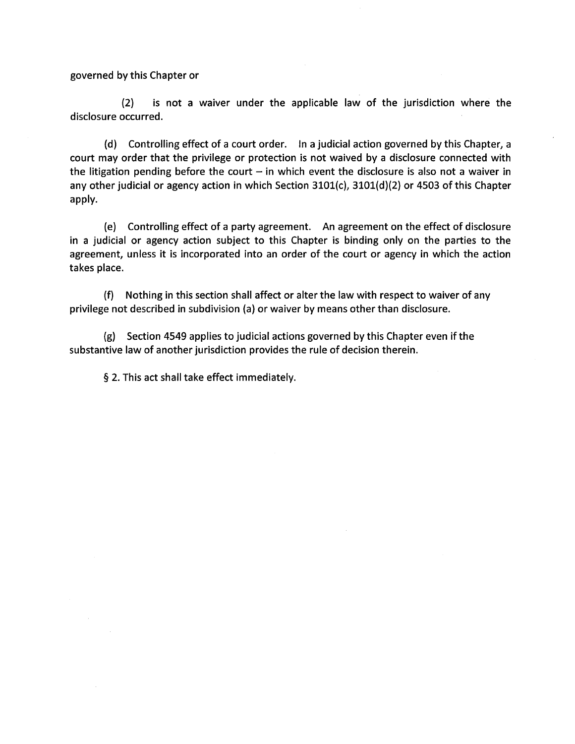governed by this Chapter or

(2) is not a waiver under the applicable law of the jurisdiction where the disclosure occurred.

(d) Controlling effect of a court order. In a judicial action governed by this Chapter, a court may order that the privilege or protection is not waived by a disclosure connected with the litigation pending before the court  $-$  in which event the disclosure is also not a waiver in any other judicial or agency action in which Section 3101(c), 3101(d)(2) or 4503 of this Chapter apply.

(e) Controlling effect of a party agreement. An agreement on the effect of disclosure in a judicial or agency action subject to this Chapter is binding only on the parties to the agreement, unless it is incorporated into an order of the court or agency in which the action takes place.

(f) Nothing in this section shall affect or alter the law with respect to waiver of any privilege not described in subdivision (a) or waiver by means other than disclosure.

(g) Section 4549 applies to judicial actions governed by this Chapter even if the substantive law of another jurisdiction provides the rule of decision therein.

§ 2. This act shall take effect immediately.